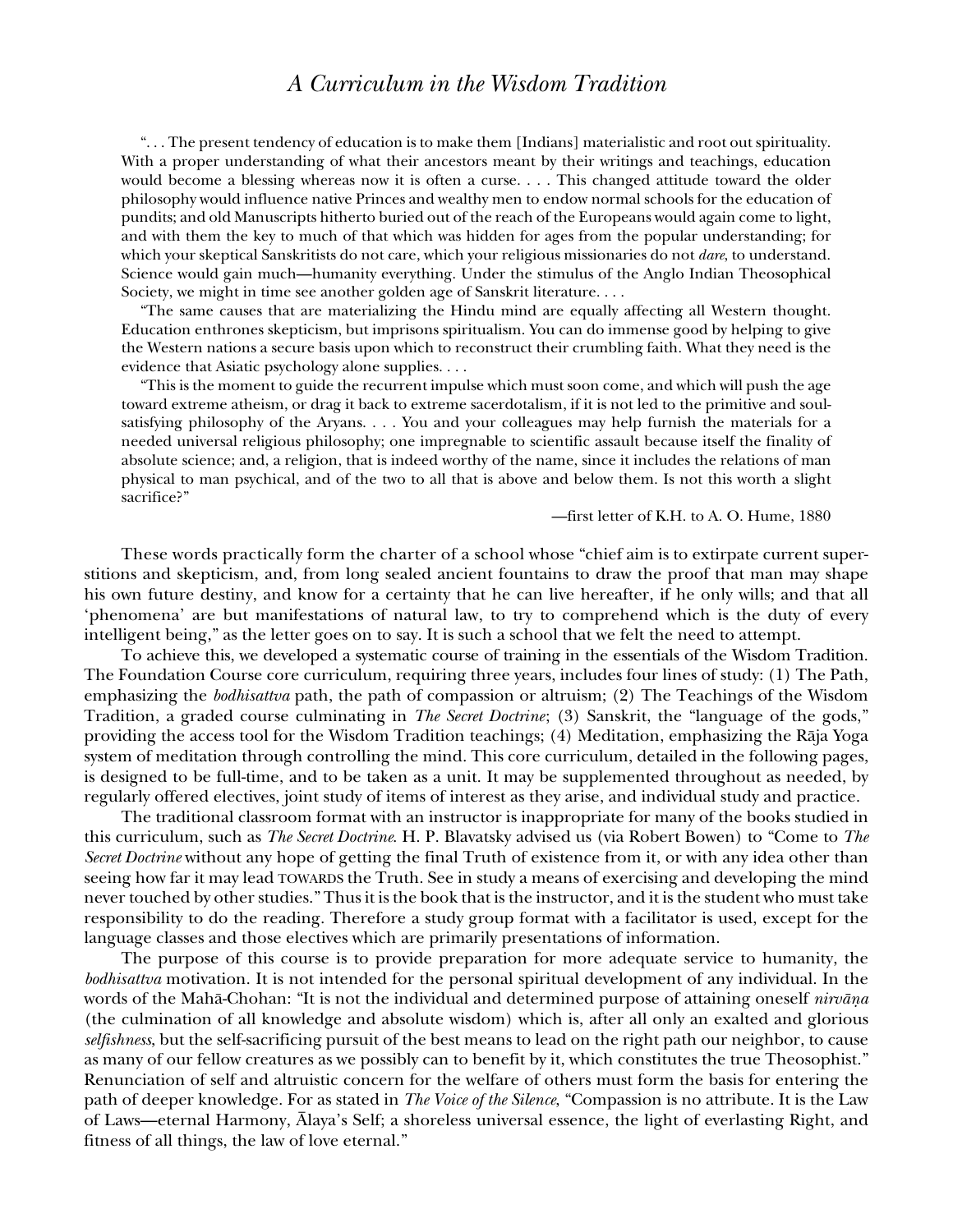# *A Curriculum in the Wisdom Tradition*

". . . The present tendency of education is to make them [Indians] materialistic and root out spirituality. With a proper understanding of what their ancestors meant by their writings and teachings, education would become a blessing whereas now it is often a curse. . . . This changed attitude toward the older philosophy would influence native Princes and wealthy men to endow normal schools for the education of pundits; and old Manuscripts hitherto buried out of the reach of the Europeans would again come to light, and with them the key to much of that which was hidden for ages from the popular understanding; for which your skeptical Sanskritists do not care, which your religious missionaries do not *dare*, to understand. Science would gain much—humanity everything. Under the stimulus of the Anglo Indian Theosophical Society, we might in time see another golden age of Sanskrit literature. . . .

"The same causes that are materializing the Hindu mind are equally affecting all Western thought. Education enthrones skepticism, but imprisons spiritualism. You can do immense good by helping to give the Western nations a secure basis upon which to reconstruct their crumbling faith. What they need is the evidence that Asiatic psychology alone supplies. . . .

"This is the moment to guide the recurrent impulse which must soon come, and which will push the age toward extreme atheism, or drag it back to extreme sacerdotalism, if it is not led to the primitive and soulsatisfying philosophy of the Aryans. . . . You and your colleagues may help furnish the materials for a needed universal religious philosophy; one impregnable to scientific assault because itself the finality of absolute science; and, a religion, that is indeed worthy of the name, since it includes the relations of man physical to man psychical, and of the two to all that is above and below them. Is not this worth a slight sacrifice?"

—first letter of K.H. to A. O. Hume, 1880

These words practically form the charter of a school whose "chief aim is to extirpate current superstitions and skepticism, and, from long sealed ancient fountains to draw the proof that man may shape his own future destiny, and know for a certainty that he can live hereafter, if he only wills; and that all 'phenomena' are but manifestations of natural law, to try to comprehend which is the duty of every intelligent being," as the letter goes on to say. It is such a school that we felt the need to attempt.

To achieve this, we developed a systematic course of training in the essentials of the Wisdom Tradition. The Foundation Course core curriculum, requiring three years, includes four lines of study: (1) The Path, emphasizing the *bodhisattva* path, the path of compassion or altruism; (2) The Teachings of the Wisdom Tradition, a graded course culminating in *The Secret Doctrine*; (3) Sanskrit, the "language of the gods," providing the access tool for the Wisdom Tradition teachings; (4) Meditation, emphasizing the Råja Yoga system of meditation through controlling the mind. This core curriculum, detailed in the following pages, is designed to be full-time, and to be taken as a unit. It may be supplemented throughout as needed, by regularly offered electives, joint study of items of interest as they arise, and individual study and practice.

The traditional classroom format with an instructor is inappropriate for many of the books studied in this curriculum, such as *The Secret Doctrine*. H. P. Blavatsky advised us (via Robert Bowen) to "Come to *The Secret Doctrine* without any hope of getting the final Truth of existence from it, or with any idea other than seeing how far it may lead TOWARDS the Truth. See in study a means of exercising and developing the mind never touched by other studies." Thus it is the book that is the instructor, and it is the student who must take responsibility to do the reading. Therefore a study group format with a facilitator is used, except for the language classes and those electives which are primarily presentations of information.

The purpose of this course is to provide preparation for more adequate service to humanity, the *bodhisattva* motivation. It is not intended for the personal spiritual development of any individual. In the words of the Mahå-Chohan: "It is not the individual and determined purpose of attaining oneself *nirvåña* (the culmination of all knowledge and absolute wisdom) which is, after all only an exalted and glorious *selfishness*, but the self-sacrificing pursuit of the best means to lead on the right path our neighbor, to cause as many of our fellow creatures as we possibly can to benefit by it, which constitutes the true Theosophist." Renunciation of self and altruistic concern for the welfare of others must form the basis for entering the path of deeper knowledge. For as stated in *The Voice of the Silence*, "Compassion is no attribute. It is the Law of Laws—eternal Harmony, Ålaya's Self; a shoreless universal essence, the light of everlasting Right, and fitness of all things, the law of love eternal."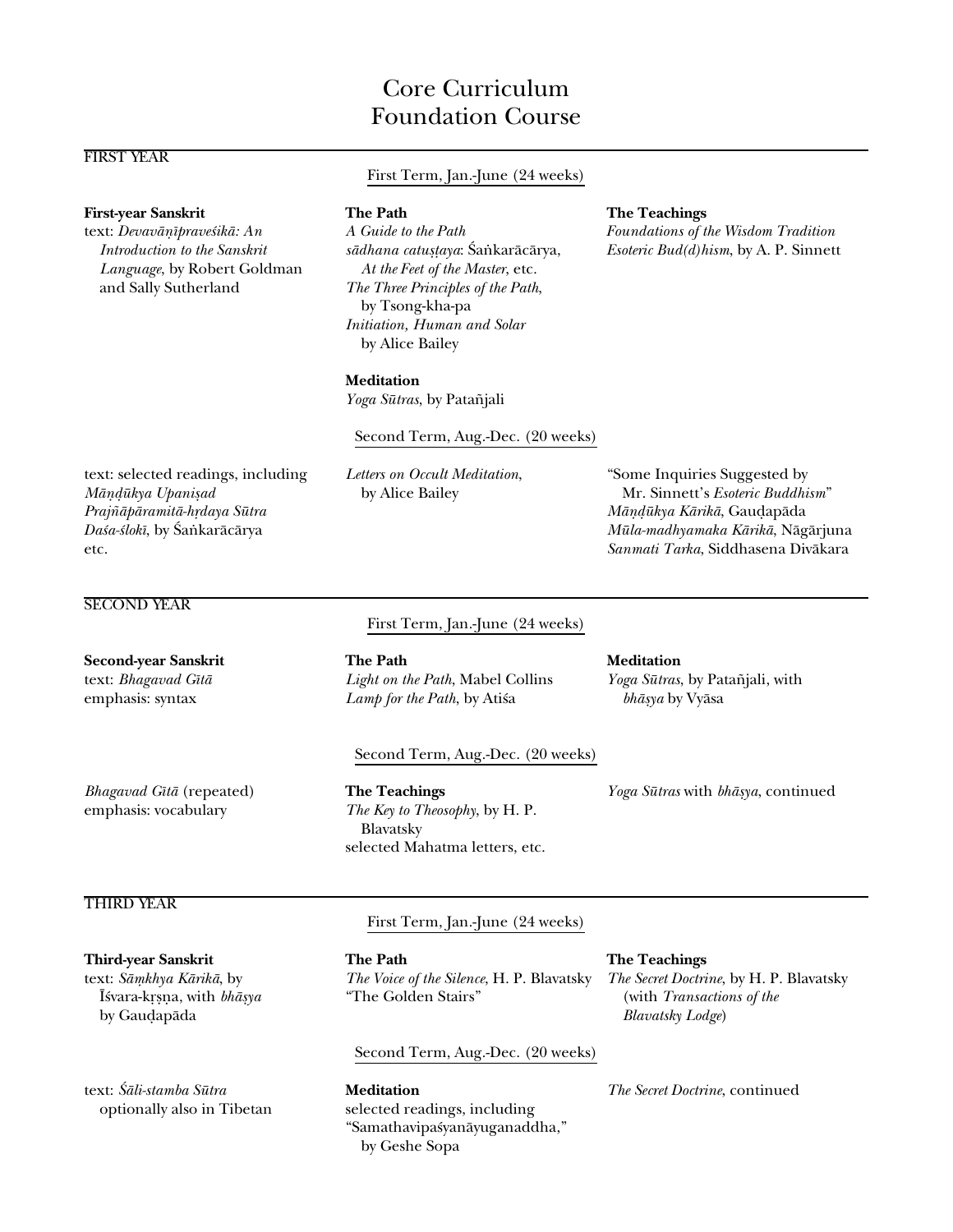# Core Curriculum Foundation Course

First Term, Jan.-June (24 weeks)

# FIRST YEAR

## **First-year Sanskrit The Path The Teachings**

*Language*, by Robert Goldman *At the Feet of the Master*, etc. and Sally Sutherland *The Three Principles of the Path*,

by Tsong-kha-pa *Initiation, Human and Solar* by Alice Bailey

text: Devavāṇīpraveśikā: An A Guide to the Path Foundations of the Wisdom Tradition *Introduction to the Sanskrit sådhana catu߆aya*: ˛a∫karåcårya, *Esoteric Bud(d)hism*, by A. P. Sinnett

## **Meditation**

*Yoga Sütras*, by Pata∆jali

### Second Term, Aug.-Dec. (20 weeks)

text: selected readings, including *Letters on Occult Meditation*, "Some Inquiries Suggested by *Måñ∂ükya Upanißad* by Alice Bailey Mr. Sinnett's *Esoteric Buddhism*" *Praj∆åpåramitå-h®daya Sütra Måñ∂ükya Kårikå*, Gau∂apåda *Da≈a-≈lokî*, by ˛a∫karåcårya *Müla-madhyamaka Kårikå*, Någårjuna etc. *Sanmati Tarka*, Siddhasena Divåkara

# SECOND YEAR

First Term, Jan.-June (24 weeks)

**Second-year Sanskrit The Path Meditation** text: *Bhagavad Gītā Light on the Path*, Mabel Collins *Yoga Sūtras*, by Patañjali, with emphasis: syntax *Lamp for the Path*, by Atisa *bhāṣya* by Vyāsa

# Second Term, Aug.-Dec. (20 weeks)

emphasis: vocabulary *The Key to Theosophy*, by H. P. Blavatsky selected Mahatma letters, etc.

*Bhagavad Gîtå* (repeated) **The Teachings** *Yoga Sütras* with *bhåßya*, continued

# THIRD YEAR

by Gau∂apåda *Blavatsky Lodge*)

text: *Såµkhya Kårikå*, by *The Voice of the Silence*, H. P. Blavatsky *The Secret Doctrine*, by H. P. Blavatsky ˆ≈vara-k®ßña, with *bhåßya* "The Golden Stairs" (with *Transactions of the*

# Second Term, Aug.-Dec. (20 weeks)

text: *˛åli-stamba Sütra* **Meditation** *The Secret Doctrine*, continued optionally also in Tibetan selected readings, including "Samathavipa≈yanåyuganaddha," by Geshe Sopa

**Third-year Sanskrit The Path The Teachings**

First Term, Jan.-June (24 weeks)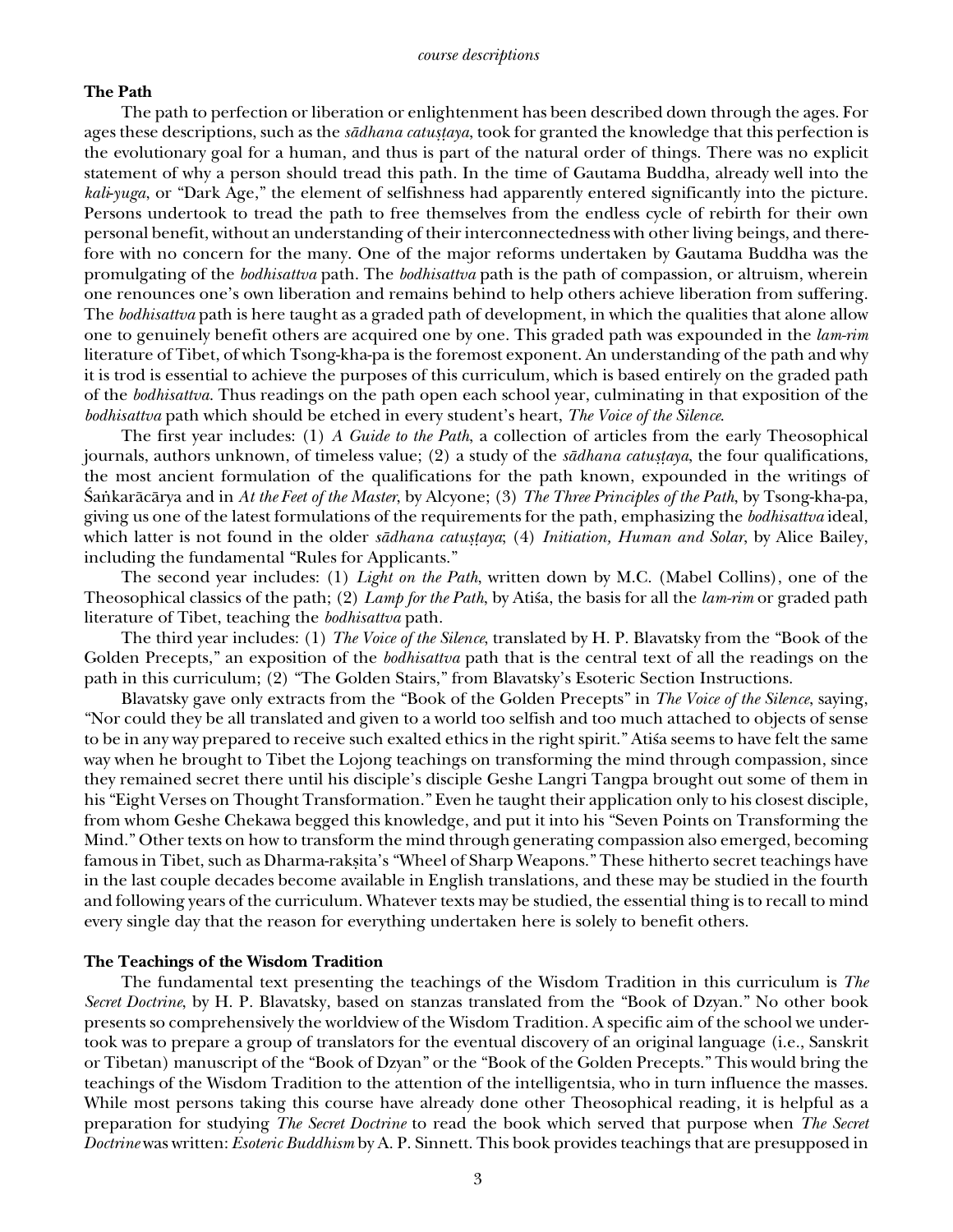# **The Path**

The path to perfection or liberation or enlightenment has been described down through the ages. For ages these descriptions, such as the *sādhana catustaya*, took for granted the knowledge that this perfection is the evolutionary goal for a human, and thus is part of the natural order of things. There was no explicit statement of why a person should tread this path. In the time of Gautama Buddha, already well into the *kali*-*yuga*, or "Dark Age," the element of selfishness had apparently entered significantly into the picture. Persons undertook to tread the path to free themselves from the endless cycle of rebirth for their own personal benefit, without an understanding of their interconnectedness with other living beings, and therefore with no concern for the many. One of the major reforms undertaken by Gautama Buddha was the promulgating of the *bodhisattva* path. The *bodhisattva* path is the path of compassion, or altruism, wherein one renounces one's own liberation and remains behind to help others achieve liberation from suffering. The *bodhisattva* path is here taught as a graded path of development, in which the qualities that alone allow one to genuinely benefit others are acquired one by one. This graded path was expounded in the *lam-rim* literature of Tibet, of which Tsong-kha-pa is the foremost exponent. An understanding of the path and why it is trod is essential to achieve the purposes of this curriculum, which is based entirely on the graded path of the *bodhisattva*. Thus readings on the path open each school year, culminating in that exposition of the *bodhisattva* path which should be etched in every student's heart, *The Voice of the Silence*.

The first year includes: (1) *A Guide to the Path*, a collection of articles from the early Theosophical journals, authors unknown, of timeless value; (2) a study of the *sādhana catuṣṭaya*, the four qualifications, the most ancient formulation of the qualifications for the path known, expounded in the writings of ˛a∫karåcårya and in *At the Feet of the Master*, by Alcyone; (3) *The Three Principles of the Path*, by Tsong-kha-pa, giving us one of the latest formulations of the requirements for the path, emphasizing the *bodhisattva* ideal, which latter is not found in the older *sādhana catuṣṭaya*; (4) *Initiation, Human and Solar*, by Alice Bailey, including the fundamental "Rules for Applicants."

The second year includes: (1) *Light on the Path*, written down by M.C. (Mabel Collins), one of the Theosophical classics of the path; (2) *Lamp for the Path*, by Atisa, the basis for all the *lam-rim* or graded path literature of Tibet, teaching the *bodhisattva* path.

The third year includes: (1) *The Voice of the Silence*, translated by H. P. Blavatsky from the "Book of the Golden Precepts," an exposition of the *bodhisattva* path that is the central text of all the readings on the path in this curriculum; (2) "The Golden Stairs," from Blavatsky's Esoteric Section Instructions.

Blavatsky gave only extracts from the "Book of the Golden Precepts" in *The Voice of the Silence*, saying, "Nor could they be all translated and given to a world too selfish and too much attached to objects of sense to be in any way prepared to receive such exalted ethics in the right spirit." Ati'a seems to have felt the same way when he brought to Tibet the Lojong teachings on transforming the mind through compassion, since they remained secret there until his disciple's disciple Geshe Langri Tangpa brought out some of them in his "Eight Verses on Thought Transformation." Even he taught their application only to his closest disciple, from whom Geshe Chekawa begged this knowledge, and put it into his "Seven Points on Transforming the Mind." Other texts on how to transform the mind through generating compassion also emerged, becoming famous in Tibet, such as Dharma-rakṣita's "Wheel of Sharp Weapons." These hitherto secret teachings have in the last couple decades become available in English translations, and these may be studied in the fourth and following years of the curriculum. Whatever texts may be studied, the essential thing is to recall to mind every single day that the reason for everything undertaken here is solely to benefit others.

# **The Teachings of the Wisdom Tradition**

The fundamental text presenting the teachings of the Wisdom Tradition in this curriculum is *The Secret Doctrine*, by H. P. Blavatsky, based on stanzas translated from the "Book of Dzyan." No other book presents so comprehensively the worldview of the Wisdom Tradition. A specific aim of the school we undertook was to prepare a group of translators for the eventual discovery of an original language (i.e., Sanskrit or Tibetan) manuscript of the "Book of Dzyan" or the "Book of the Golden Precepts." This would bring the teachings of the Wisdom Tradition to the attention of the intelligentsia, who in turn influence the masses. While most persons taking this course have already done other Theosophical reading, it is helpful as a preparation for studying *The Secret Doctrine* to read the book which served that purpose when *The Secret Doctrine* was written: *Esoteric Buddhism* by A. P. Sinnett. This book provides teachings that are presupposed in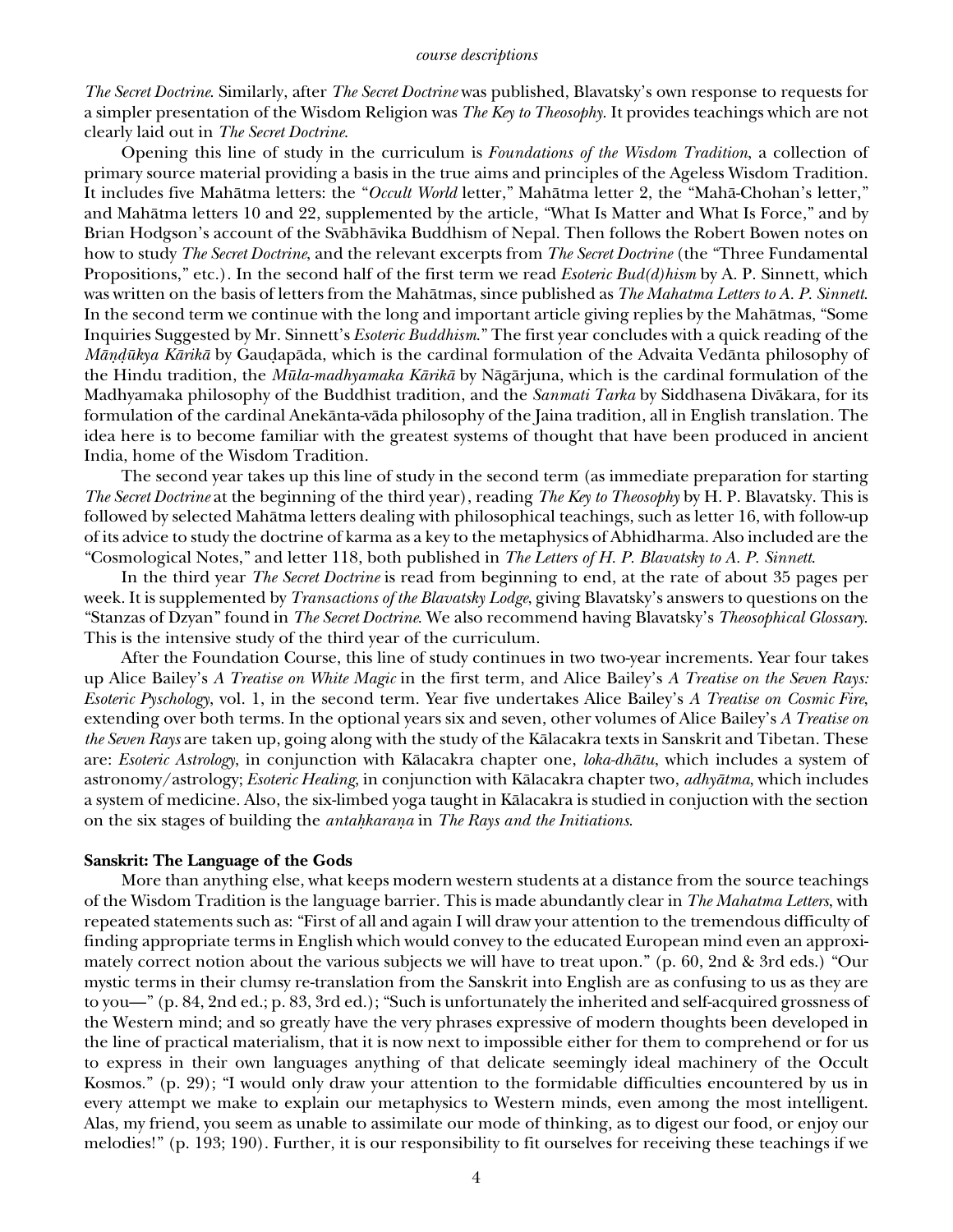*The Secret Doctrine*. Similarly, after *The Secret Doctrine* was published, Blavatsky's own response to requests for a simpler presentation of the Wisdom Religion was *The Key to Theosophy*. It provides teachings which are not clearly laid out in *The Secret Doctrine*.

Opening this line of study in the curriculum is *Foundations of the Wisdom Tradition*, a collection of primary source material providing a basis in the true aims and principles of the Ageless Wisdom Tradition. It includes five Mahåtma letters: the "*Occult World* letter," Mahåtma letter 2, the "Mahå-Chohan's letter," and Mahåtma letters 10 and 22, supplemented by the article, "What Is Matter and What Is Force," and by Brian Hodgson's account of the Svåbhåvika Buddhism of Nepal. Then follows the Robert Bowen notes on how to study *The Secret Doctrine*, and the relevant excerpts from *The Secret Doctrine* (the "Three Fundamental Propositions," etc.). In the second half of the first term we read *Esoteric Bud(d)hism* by A. P. Sinnett, which was written on the basis of letters from the Mahåtmas, since published as *The Mahatma Letters to A. P. Sinnett*. In the second term we continue with the long and important article giving replies by the Mahåtmas, "Some Inquiries Suggested by Mr. Sinnett's *Esoteric Buddhism*." The first year concludes with a quick reading of the *Māṇḍūkya Kārikā* by Gauḍapāda, which is the cardinal formulation of the Advaita Vedānta philosophy of the Hindu tradition, the *Müla-madhyamaka Kårikå* by Någårjuna, which is the cardinal formulation of the Madhyamaka philosophy of the Buddhist tradition, and the *Sanmati Tarka* by Siddhasena Divåkara, for its formulation of the cardinal Anekånta-våda philosophy of the Jaina tradition, all in English translation. The idea here is to become familiar with the greatest systems of thought that have been produced in ancient India, home of the Wisdom Tradition.

The second year takes up this line of study in the second term (as immediate preparation for starting *The Secret Doctrine* at the beginning of the third year), reading *The Key to Theosophy* by H. P. Blavatsky. This is followed by selected Mahåtma letters dealing with philosophical teachings, such as letter 16, with follow-up of its advice to study the doctrine of karma as a key to the metaphysics of Abhidharma. Also included are the "Cosmological Notes," and letter 118, both published in *The Letters of H. P. Blavatsky to A. P. Sinnett*.

In the third year *The Secret Doctrine* is read from beginning to end, at the rate of about 35 pages per week. It is supplemented by *Transactions of the Blavatsky Lodge*, giving Blavatsky's answers to questions on the "Stanzas of Dzyan" found in *The Secret Doctrine*. We also recommend having Blavatsky's *Theosophical Glossary*. This is the intensive study of the third year of the curriculum.

After the Foundation Course, this line of study continues in two two-year increments. Year four takes up Alice Bailey's *A Treatise on White Magic* in the first term, and Alice Bailey's *A Treatise on the Seven Rays: Esoteric Pyschology*, vol. 1, in the second term. Year five undertakes Alice Bailey's *A Treatise on Cosmic Fire*, extending over both terms. In the optional years six and seven, other volumes of Alice Bailey's *A Treatise on the Seven Rays* are taken up, going along with the study of the Kålacakra texts in Sanskrit and Tibetan. These are: *Esoteric Astrology*, in conjunction with Kålacakra chapter one, *loka-dhåtu*, which includes a system of astronomy/astrology; *Esoteric Healing*, in conjunction with Kålacakra chapter two, *adhyåtma*, which includes a system of medicine. Also, the six-limbed yoga taught in Kålacakra is studied in conjuction with the section on the six stages of building the *antahkaraṇa* in *The Rays and the Initiations*.

### **Sanskrit: The Language of the Gods**

More than anything else, what keeps modern western students at a distance from the source teachings of the Wisdom Tradition is the language barrier. This is made abundantly clear in *The Mahatma Letters*, with repeated statements such as: "First of all and again I will draw your attention to the tremendous difficulty of finding appropriate terms in English which would convey to the educated European mind even an approximately correct notion about the various subjects we will have to treat upon." (p. 60, 2nd & 3rd eds.) "Our mystic terms in their clumsy re-translation from the Sanskrit into English are as confusing to us as they are to you—" (p. 84, 2nd ed.; p. 83, 3rd ed.); "Such is unfortunately the inherited and self-acquired grossness of the Western mind; and so greatly have the very phrases expressive of modern thoughts been developed in the line of practical materialism, that it is now next to impossible either for them to comprehend or for us to express in their own languages anything of that delicate seemingly ideal machinery of the Occult Kosmos." (p. 29); "I would only draw your attention to the formidable difficulties encountered by us in every attempt we make to explain our metaphysics to Western minds, even among the most intelligent. Alas, my friend, you seem as unable to assimilate our mode of thinking, as to digest our food, or enjoy our melodies!" (p. 193; 190). Further, it is our responsibility to fit ourselves for receiving these teachings if we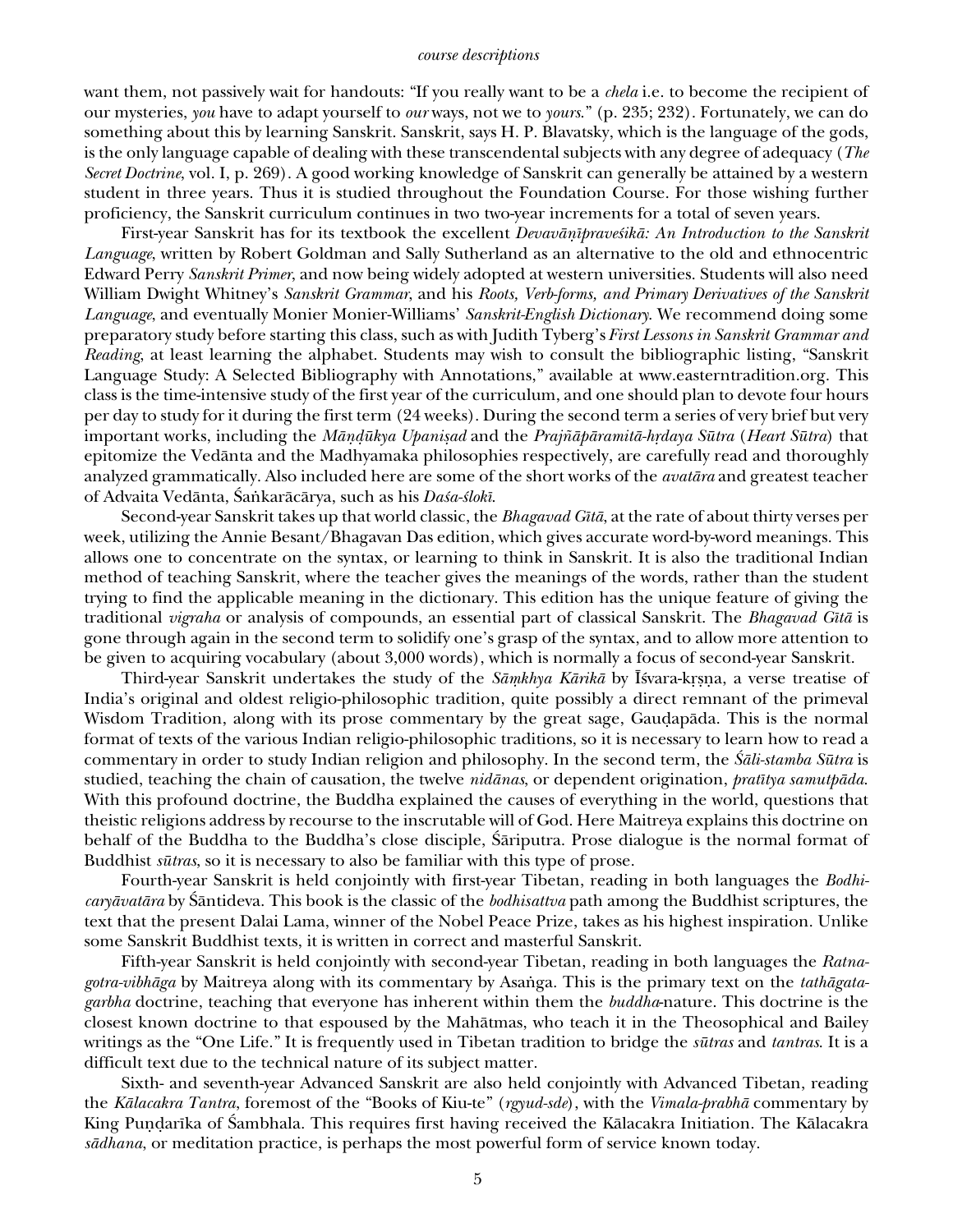#### *course descriptions*

want them, not passively wait for handouts: "If you really want to be a *chela* i.e. to become the recipient of our mysteries, *you* have to adapt yourself to *our* ways, not we to *yours*." (p. 235; 232). Fortunately, we can do something about this by learning Sanskrit. Sanskrit, says H. P. Blavatsky, which is the language of the gods, is the only language capable of dealing with these transcendental subjects with any degree of adequacy (*The Secret Doctrine*, vol. I, p. 269). A good working knowledge of Sanskrit can generally be attained by a western student in three years. Thus it is studied throughout the Foundation Course. For those wishing further proficiency, the Sanskrit curriculum continues in two two-year increments for a total of seven years.

First-year Sanskrit has for its textbook the excellent *Devavānīpraveśikā: An Introduction to the Sanskrit Language*, written by Robert Goldman and Sally Sutherland as an alternative to the old and ethnocentric Edward Perry *Sanskrit Primer*, and now being widely adopted at western universities. Students will also need William Dwight Whitney's *Sanskrit Grammar*, and his *Roots, Verb-forms, and Primary Derivatives of the Sanskrit Language*, and eventually Monier Monier-Williams' *Sanskrit-English Dictionary*. We recommend doing some preparatory study before starting this class, such as with Judith Tyberg's *First Lessons in Sanskrit Grammar and Reading*, at least learning the alphabet. Students may wish to consult the bibliographic listing, "Sanskrit Language Study: A Selected Bibliography with Annotations," available at www.easterntradition.org. This class is the time-intensive study of the first year of the curriculum, and one should plan to devote four hours per day to study for it during the first term (24 weeks). During the second term a series of very brief but very important works, including the *Måñ∂ükya Upanißad* and the *Praj∆åpåramitå-h®daya Sütra* (*Heart Sütra*) that epitomize the Vedånta and the Madhyamaka philosophies respectively, are carefully read and thoroughly analyzed grammatically. Also included here are some of the short works of the *avatåra* and greatest teacher of Advaita Vedånta, ˛a∫karåcårya, such as his *Da≈a-≈lokî*.

Second-year Sanskrit takes up that world classic, the *Bhagavad Gîtå*, at the rate of about thirty verses per week, utilizing the Annie Besant/Bhagavan Das edition, which gives accurate word-by-word meanings. This allows one to concentrate on the syntax, or learning to think in Sanskrit. It is also the traditional Indian method of teaching Sanskrit, where the teacher gives the meanings of the words, rather than the student trying to find the applicable meaning in the dictionary. This edition has the unique feature of giving the traditional *vigraha* or analysis of compounds, an essential part of classical Sanskrit. The *Bhagavad Gîtå* is gone through again in the second term to solidify one's grasp of the syntax, and to allow more attention to be given to acquiring vocabulary (about 3,000 words), which is normally a focus of second-year Sanskrit.

Third-year Sanskrit undertakes the study of the *Sāṃkhya Kārikā* by Īśvara-kṛṣṇa, a verse treatise of India's original and oldest religio-philosophic tradition, quite possibly a direct remnant of the primeval Wisdom Tradition, along with its prose commentary by the great sage, Gauḍapāda. This is the normal format of texts of the various Indian religio-philosophic traditions, so it is necessary to learn how to read a commentary in order to study Indian religion and philosophy. In the second term, the *˛åli-stamba Sütra* is studied, teaching the chain of causation, the twelve *nidånas*, or dependent origination, *pratîtya samutpåda*. With this profound doctrine, the Buddha explained the causes of everything in the world, questions that theistic religions address by recourse to the inscrutable will of God. Here Maitreya explains this doctrine on behalf of the Buddha to the Buddha's close disciple, Sariputra. Prose dialogue is the normal format of Buddhist *sütras*, so it is necessary to also be familiar with this type of prose.

Fourth-year Sanskrit is held conjointly with first-year Tibetan, reading in both languages the *Bodhicaryåvatåra* by ˛åntideva. This book is the classic of the *bodhisattva* path among the Buddhist scriptures, the text that the present Dalai Lama, winner of the Nobel Peace Prize, takes as his highest inspiration. Unlike some Sanskrit Buddhist texts, it is written in correct and masterful Sanskrit.

Fifth-year Sanskrit is held conjointly with second-year Tibetan, reading in both languages the *Ratnagotra-vibhāga* by Maitreya along with its commentary by Asanga. This is the primary text on the *tathāgatagarbha* doctrine, teaching that everyone has inherent within them the *buddha*-nature. This doctrine is the closest known doctrine to that espoused by the Mahåtmas, who teach it in the Theosophical and Bailey writings as the "One Life." It is frequently used in Tibetan tradition to bridge the *sütras* and *tantras*. It is a difficult text due to the technical nature of its subject matter.

Sixth- and seventh-year Advanced Sanskrit are also held conjointly with Advanced Tibetan, reading the *Kålacakra Tantra*, foremost of the "Books of Kiu-te" (*rgyud-sde*), with the *Vimala-prabhå* commentary by King Puṇḍarīka of Sambhala. This requires first having received the Kālacakra Initiation. The Kālacakra *sådhana*, or meditation practice, is perhaps the most powerful form of service known today.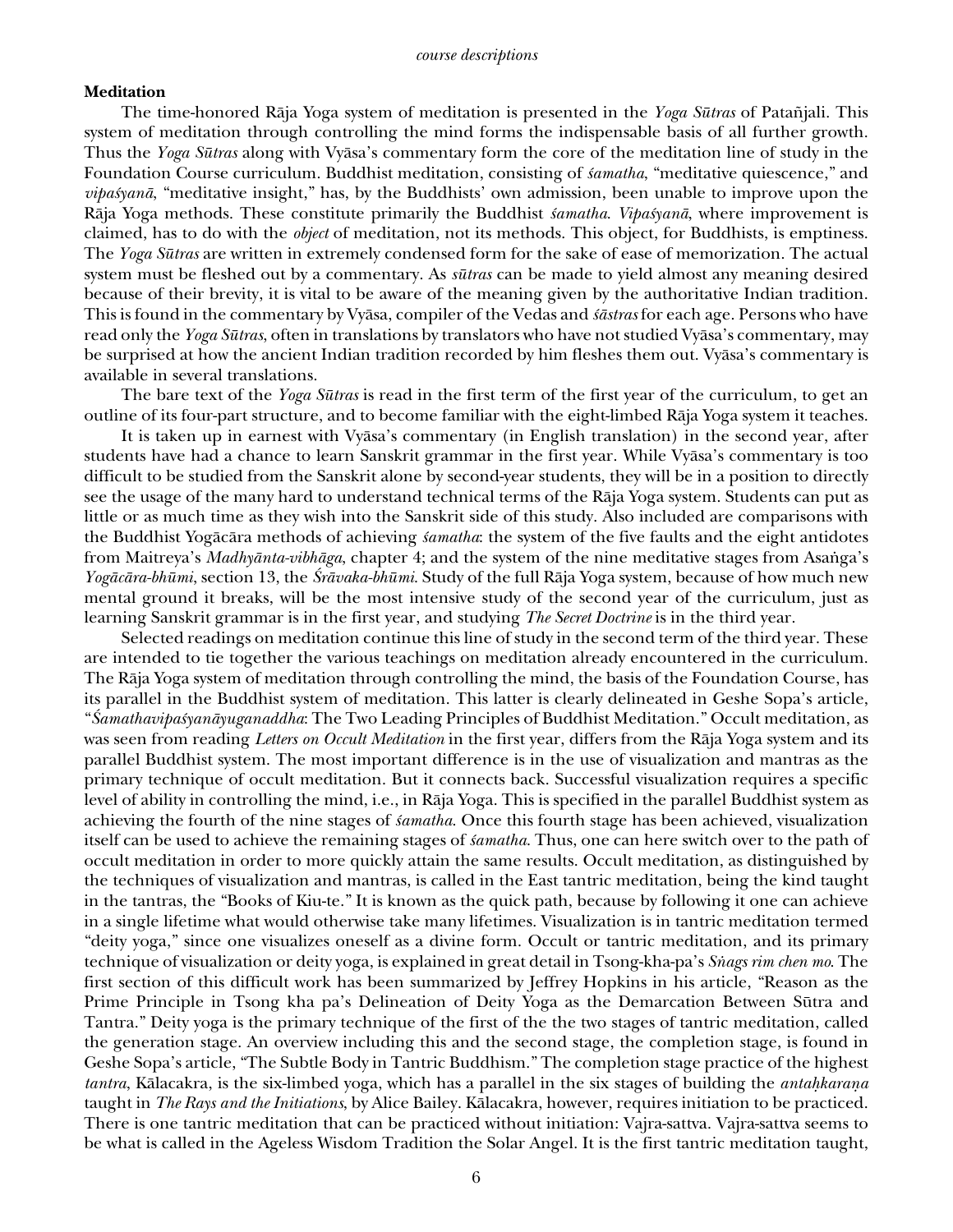## **Meditation**

The time-honored Rāja Yoga system of meditation is presented in the *Yoga Sūtras* of Patañjali. This system of meditation through controlling the mind forms the indispensable basis of all further growth. Thus the *Yoga Sütras* along with Vyåsa's commentary form the core of the meditation line of study in the Foundation Course curriculum. Buddhist meditation, consisting of *samatha*, "meditative quiescence," and *vipa≈yanå*, "meditative insight," has, by the Buddhists' own admission, been unable to improve upon the Rāja Yoga methods. These constitute primarily the Buddhist *šamatha*. *Vipašyanā*, where improvement is claimed, has to do with the *object* of meditation, not its methods. This object, for Buddhists, is emptiness. The *Yoga Sütras* are written in extremely condensed form for the sake of ease of memorization. The actual system must be fleshed out by a commentary. As *sütras* can be made to yield almost any meaning desired because of their brevity, it is vital to be aware of the meaning given by the authoritative Indian tradition. This is found in the commentary by Vyåsa, compiler of the Vedas and *Ōstras* for each age. Persons who have read only the *Yoga Sütras*, often in translations by translators who have not studied Vyåsa's commentary, may be surprised at how the ancient Indian tradition recorded by him fleshes them out. Vyåsa's commentary is available in several translations.

The bare text of the *Yoga Sütras* is read in the first term of the first year of the curriculum, to get an outline of its four-part structure, and to become familiar with the eight-limbed Råja Yoga system it teaches.

It is taken up in earnest with Vyåsa's commentary (in English translation) in the second year, after students have had a chance to learn Sanskrit grammar in the first year. While Vyåsa's commentary is too difficult to be studied from the Sanskrit alone by second-year students, they will be in a position to directly see the usage of the many hard to understand technical terms of the Råja Yoga system. Students can put as little or as much time as they wish into the Sanskrit side of this study. Also included are comparisons with the Buddhist Yogācāra methods of achieving *samatha*: the system of the five faults and the eight antidotes from Maitreya's *Madhyānta-vibhāga*, chapter 4; and the system of the nine meditative stages from Asanga's *Yogåcåra-bhümi*, section 13, the *˛råvaka-bhümi*. Study of the full Råja Yoga system, because of how much new mental ground it breaks, will be the most intensive study of the second year of the curriculum, just as learning Sanskrit grammar is in the first year, and studying *The Secret Doctrine* is in the third year.

Selected readings on meditation continue this line of study in the second term of the third year. These are intended to tie together the various teachings on meditation already encountered in the curriculum. The Råja Yoga system of meditation through controlling the mind, the basis of the Foundation Course, has its parallel in the Buddhist system of meditation. This latter is clearly delineated in Geshe Sopa's article, "*˛amathavipa≈yanåyuganaddha*: The Two Leading Principles of Buddhist Meditation." Occult meditation, as was seen from reading *Letters on Occult Meditation* in the first year, differs from the Råja Yoga system and its parallel Buddhist system. The most important difference is in the use of visualization and mantras as the primary technique of occult meditation. But it connects back. Successful visualization requires a specific level of ability in controlling the mind, i.e., in Råja Yoga. This is specified in the parallel Buddhist system as achieving the fourth of the nine stages of *≈amatha*. Once this fourth stage has been achieved, visualization itself can be used to achieve the remaining stages of *samatha*. Thus, one can here switch over to the path of occult meditation in order to more quickly attain the same results. Occult meditation, as distinguished by the techniques of visualization and mantras, is called in the East tantric meditation, being the kind taught in the tantras, the "Books of Kiu-te." It is known as the quick path, because by following it one can achieve in a single lifetime what would otherwise take many lifetimes. Visualization is in tantric meditation termed "deity yoga," since one visualizes oneself as a divine form. Occult or tantric meditation, and its primary technique of visualization or deity yoga, is explained in great detail in Tsong-kha-pa's *S∫ags rim chen mo*. The first section of this difficult work has been summarized by Jeffrey Hopkins in his article, "Reason as the Prime Principle in Tsong kha pa's Delineation of Deity Yoga as the Demarcation Between Sütra and Tantra." Deity yoga is the primary technique of the first of the the two stages of tantric meditation, called the generation stage. An overview including this and the second stage, the completion stage, is found in Geshe Sopa's article, "The Subtle Body in Tantric Buddhism." The completion stage practice of the highest *tantra*, Kålacakra, is the six-limbed yoga, which has a parallel in the six stages of building the *anta˙karaña* taught in *The Rays and the Initiations*, by Alice Bailey. Kålacakra, however, requires initiation to be practiced. There is one tantric meditation that can be practiced without initiation: Vajra-sattva. Vajra-sattva seems to be what is called in the Ageless Wisdom Tradition the Solar Angel. It is the first tantric meditation taught,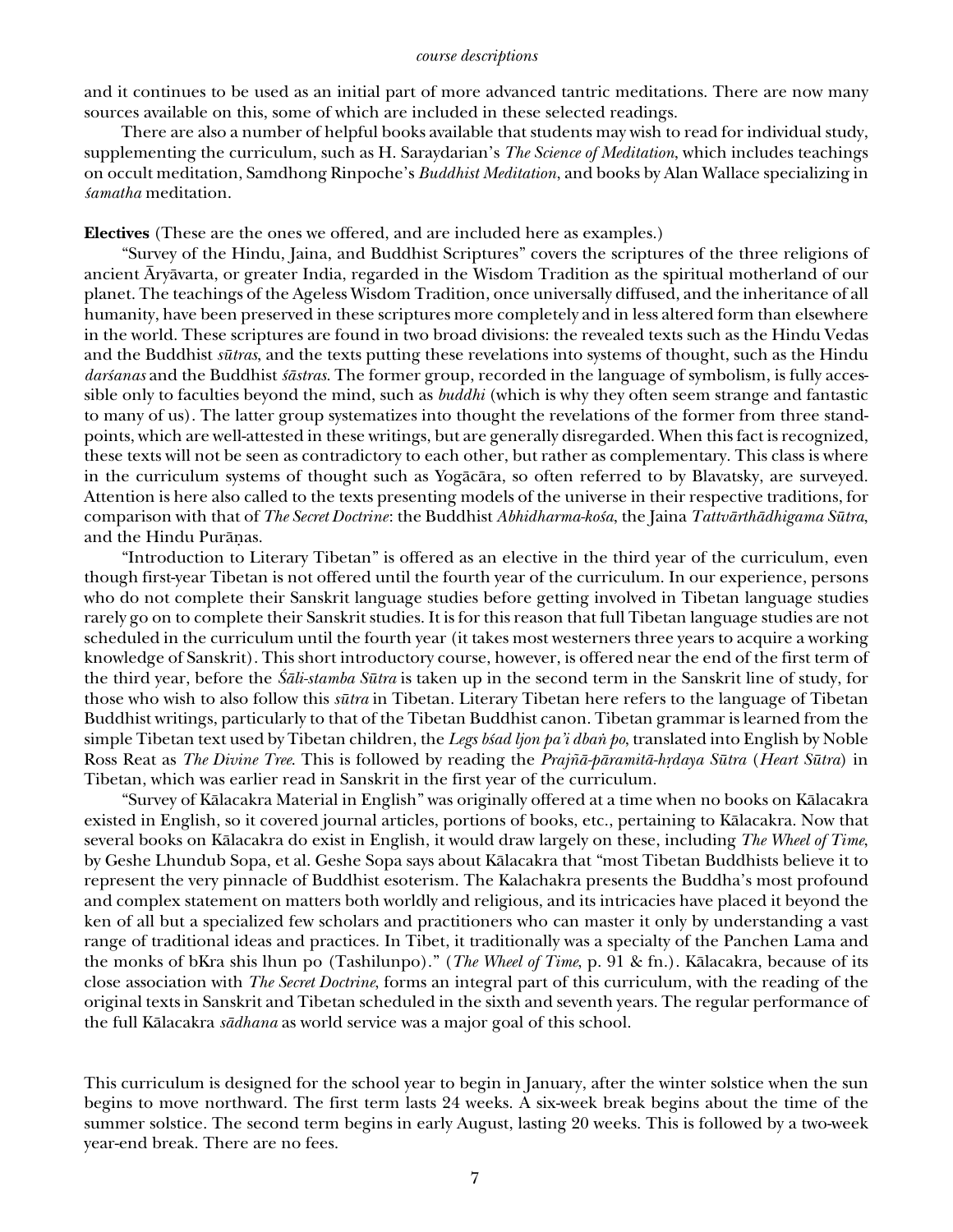#### *course descriptions*

and it continues to be used as an initial part of more advanced tantric meditations. There are now many sources available on this, some of which are included in these selected readings.

There are also a number of helpful books available that students may wish to read for individual study, supplementing the curriculum, such as H. Saraydarian's *The Science of Meditation*, which includes teachings on occult meditation, Samdhong Rinpoche's *Buddhist Meditation*, and books by Alan Wallace specializing in *≈amatha* meditation.

**Electives** (These are the ones we offered, and are included here as examples.)

"Survey of the Hindu, Jaina, and Buddhist Scriptures" covers the scriptures of the three religions of ancient Åryåvarta, or greater India, regarded in the Wisdom Tradition as the spiritual motherland of our planet. The teachings of the Ageless Wisdom Tradition, once universally diffused, and the inheritance of all humanity, have been preserved in these scriptures more completely and in less altered form than elsewhere in the world. These scriptures are found in two broad divisions: the revealed texts such as the Hindu Vedas and the Buddhist *sütras*, and the texts putting these revelations into systems of thought, such as the Hindu *dar§anas* and the Buddhist *§āstras*. The former group, recorded in the language of symbolism, is fully accessible only to faculties beyond the mind, such as *buddhi* (which is why they often seem strange and fantastic to many of us). The latter group systematizes into thought the revelations of the former from three standpoints, which are well-attested in these writings, but are generally disregarded. When this fact is recognized, these texts will not be seen as contradictory to each other, but rather as complementary. This class is where in the curriculum systems of thought such as Yogåcåra, so often referred to by Blavatsky, are surveyed. Attention is here also called to the texts presenting models of the universe in their respective traditions, for comparison with that of *The Secret Doctrine*: the Buddhist *Abhidharma-ko≈a*, the Jaina *Tattvårthådhigama Sütra*, and the Hindu Puråñas.

"Introduction to Literary Tibetan" is offered as an elective in the third year of the curriculum, even though first-year Tibetan is not offered until the fourth year of the curriculum. In our experience, persons who do not complete their Sanskrit language studies before getting involved in Tibetan language studies rarely go on to complete their Sanskrit studies. It is for this reason that full Tibetan language studies are not scheduled in the curriculum until the fourth year (it takes most westerners three years to acquire a working knowledge of Sanskrit). This short introductory course, however, is offered near the end of the first term of the third year, before the *˛åli-stamba Sütra* is taken up in the second term in the Sanskrit line of study, for those who wish to also follow this *sütra* in Tibetan. Literary Tibetan here refers to the language of Tibetan Buddhist writings, particularly to that of the Tibetan Buddhist canon. Tibetan grammar is learned from the simple Tibetan text used by Tibetan children, the *Legs b≶ad ljon pa'i dbañ po*, translated into English by Noble Ross Reat as *The Divine Tree*. This is followed by reading the *Prajñā-pāramitā-hrdaya Sūtra* (*Heart Sūtra*) in Tibetan, which was earlier read in Sanskrit in the first year of the curriculum.

"Survey of Kålacakra Material in English" was originally offered at a time when no books on Kålacakra existed in English, so it covered journal articles, portions of books, etc., pertaining to Kålacakra. Now that several books on Kålacakra do exist in English, it would draw largely on these, including *The Wheel of Time*, by Geshe Lhundub Sopa, et al. Geshe Sopa says about Kålacakra that "most Tibetan Buddhists believe it to represent the very pinnacle of Buddhist esoterism. The Kalachakra presents the Buddha's most profound and complex statement on matters both worldly and religious, and its intricacies have placed it beyond the ken of all but a specialized few scholars and practitioners who can master it only by understanding a vast range of traditional ideas and practices. In Tibet, it traditionally was a specialty of the Panchen Lama and the monks of bKra shis lhun po (Tashilunpo)." (*The Wheel of Time*, p. 91 & fn.). Kålacakra, because of its close association with *The Secret Doctrine*, forms an integral part of this curriculum, with the reading of the original texts in Sanskrit and Tibetan scheduled in the sixth and seventh years. The regular performance of the full Kålacakra *sådhana* as world service was a major goal of this school.

This curriculum is designed for the school year to begin in January, after the winter solstice when the sun begins to move northward. The first term lasts 24 weeks. A six-week break begins about the time of the summer solstice. The second term begins in early August, lasting 20 weeks. This is followed by a two-week year-end break. There are no fees.